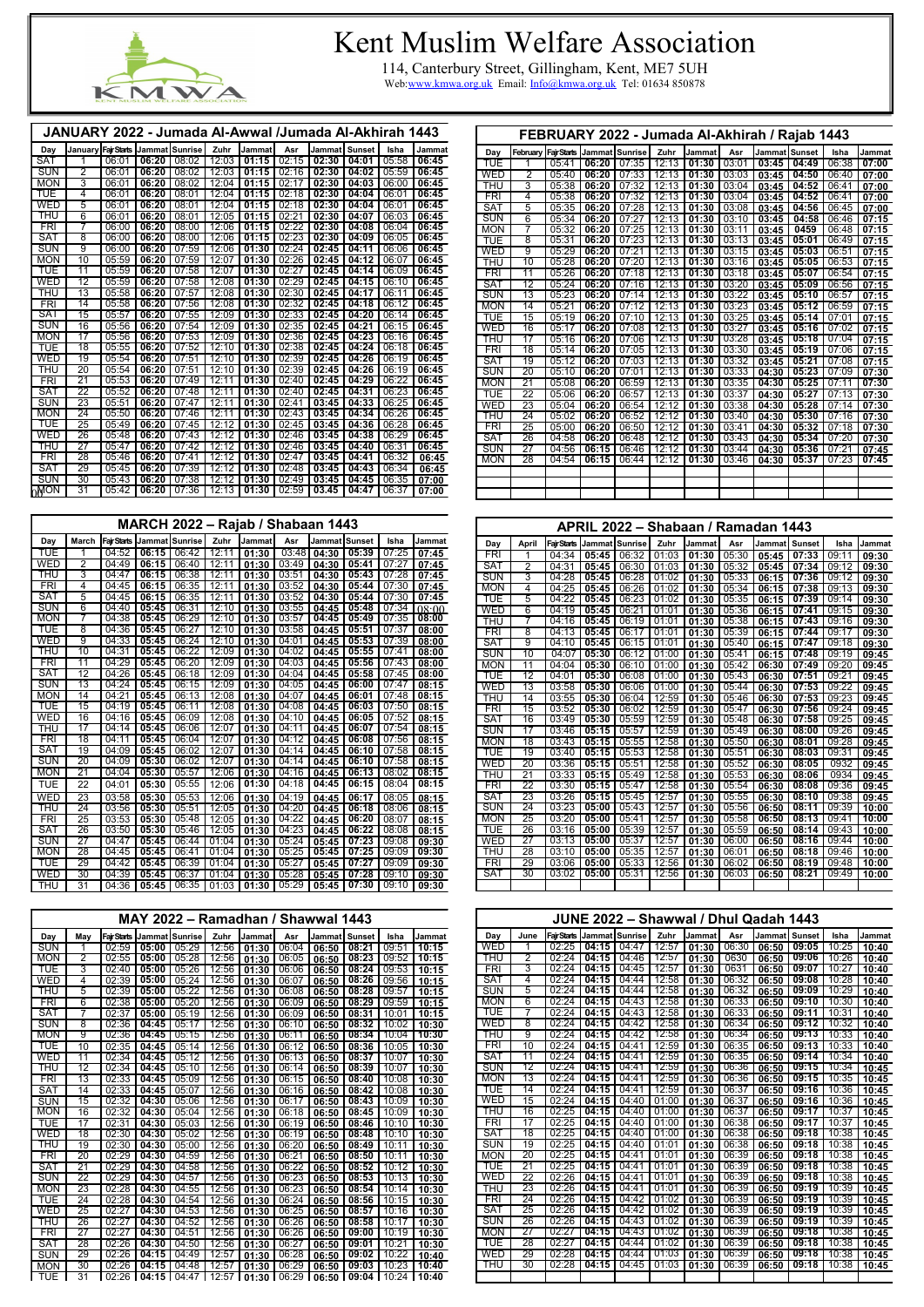

## Kent Muslim Welfare Association

114, Canterbury Street, Gillingham, Kent, ME7 5UH Web[:www.kmwa.org.uk](http://www.kmwa.org.uk/) Email: [Info@kmwa.org.uk](mailto:Info@kmwa.org.uk) Tel: 01634 850878

|             |                 |                    |                | JANUARY 2022 - Jumada Al-Awwal /Jumada Al-Akhirah 1443 |       |        |       |        |               |       |        |
|-------------|-----------------|--------------------|----------------|--------------------------------------------------------|-------|--------|-------|--------|---------------|-------|--------|
| Day         | January         | <b>Fair Starts</b> | Jammat Sunrise |                                                        | Zuhr  | Jammat | Asr   | Jammat | <b>Sunset</b> | Isha  | Jammat |
| SAT         | 1               | 06:01              | 06:20          | 08:02                                                  | 12:03 | 01:15  | 02:15 | 02:30  | 04:01         | 05:58 | 06:45  |
| <b>SUN</b>  | $\overline{2}$  | 06:01              | 06:20          | 08:02                                                  | 12:03 | 01:15  | 02:16 | 02:30  | 04:02         | 05:59 | 06:45  |
| <b>MON</b>  | 3               | 06:01              | 06:20          | 08:02                                                  | 12:04 | 01:15  | 02:17 | 02:30  | 04:03         | 06:00 | 06:45  |
| TUE         | 4               | 06:01              | 06:20          | 08:01                                                  | 12:04 | 01:15  | 02:18 | 02:30  | 04:04         | 06:01 | 06:45  |
| <b>WED</b>  | 5               | 06:01              | 06:20          | 08:01                                                  | 12:04 | 01:15  | 02:18 | 02:30  | 04:04         | 06:01 | 06:45  |
| THU         | $\overline{6}$  | 06:01              | 06:20          | 08:01                                                  | 12:05 | 01:15  | 02:21 | 02:30  | 04:07         | 06:03 | 06:45  |
| <b>FRI</b>  | 7               | 06:00              | 06:20          | 08:00                                                  | 12:06 | 01:15  | 02:22 | 02:30  | 04:08         | 06:04 | 06:45  |
| <b>SAT</b>  | $\overline{8}$  | 06:00              | 06:20          | 08:00                                                  | 12:06 | 01:15  | 02:23 | 02:30  | 04:09         | 06:05 | 06:45  |
| <b>SUN</b>  | $\overline{9}$  | 06:00              | 06:20          | 07:59                                                  | 12:06 | 01:30  | 02:24 | 02:45  | 04:11         | 06:06 | 06:45  |
| <b>MON</b>  | 10              | 05:59              | 06:20          | 07:59                                                  | 12:07 | 01:30  | 02:26 | 02:45  | 04:12         | 06:07 | 06:45  |
| <b>TUE</b>  | 11              | 05:59              | 06:20          | 07:58                                                  | 12:07 | 01:30  | 02:27 | 02:45  | 04:14         | 06:09 | 06:45  |
| WED         | $\overline{12}$ | 05:59              | 06:20          | 07:58                                                  | 12:08 | 01:30  | 02:29 | 02:45  | 04:15         | 06:10 | 06:45  |
| THU         | 13              | 05:58              | 06:20          | 07:57                                                  | 12:08 | 01:30  | 02:30 | 02:45  | 04:17         | 06:11 | 06:45  |
| <b>FRI</b>  | 14              | 05:58              | 06:20          | 07:56                                                  | 12:08 | 01:30  | 02:32 | 02:45  | 04:18         | 06:12 | 06:45  |
| <b>SAT</b>  | 15              | 05:57              | 06:20          | 07:55                                                  | 12:09 | 01:30  | 02:33 | 02:45  | 04:20         | 06:14 | 06:45  |
| <b>SUN</b>  | 16              | 05:56              | 06:20          | 07:54                                                  | 12:09 | 01:30  | 02:35 | 02:45  | 04:21         | 06:15 | 06:45  |
| <b>MON</b>  | 17              | 05:56              | 06:20          | 07:53                                                  | 12:09 | 01:30  | 02:36 | 02:45  | 04:23         | 06:16 | 06:45  |
| TUE         | 18              | 05:55              | 06:20          | 07:52                                                  | 12:10 | 01:30  | 02:38 | 02:45  | 04:24         | 06:18 | 06:45  |
| WED         | 19              | 05:54              | 06:20          | 07:51                                                  | 12:10 | 01:30  | 02:39 | 02:45  | 04:26         | 06:19 | 06:45  |
| THU         | $\overline{20}$ | 05:54              | 06:20          | 07:51                                                  | 12:10 | 01:30  | 02:39 | 02:45  | 04:26         | 06:19 | 06:45  |
| <b>FRI</b>  | $\overline{21}$ | 05:53              | 06:20          | 07:49                                                  | 12:11 | 01:30  | 02:40 | 02:45  | 04:29         | 06:22 | 06:45  |
| <b>SAT</b>  | 22              | 05:52              | 06:20          | 07:48                                                  | 12:11 | 01:30  | 02:40 | 02:45  | 04:31         | 06:23 | 06:45  |
| <b>SUN</b>  | 23              | 05:51              | 06:20          | 07:47                                                  | 12:11 | 01:30  | 02:41 | 03:45  | 04:33         | 06:25 | 06:45  |
| <b>MON</b>  | 24              | 05:50              | 06:20          | 07:46                                                  | 12:11 | 01:30  | 02:43 | 03:45  | 04:34         | 06:26 | 06:45  |
| <b>TUE</b>  | 25              | 05:49              | 06:20          | 07:45                                                  | 12:12 | 01:30  | 02:45 | 03:45  | 04:36         | 06:28 | 06:45  |
| WED         | 26              | 05:48              | 06:20          | 07:43                                                  | 12:12 | 01:30  | 02:46 | 03:45  | 04:38         | 06:29 | 06:45  |
| THU         | $\overline{27}$ | 05:47              | 06:20          | 07:42                                                  | 12:12 | 01:30  | 02:46 | 03:45  | 04:40         | 06:31 | 06:45  |
| <b>FRI</b>  | 28              | 05:46              | 06:20          | 07:41                                                  | 12:12 | 01:30  | 02:47 | 03:45  | 04:41         | 06:32 | 06:45  |
| SAT         | 29              | 05:45              | 06:20          | 07:39                                                  | 12:12 | 01:30  | 02:48 | 03:45  | 04:43         | 06:34 | 06:45  |
| <b>SUN</b>  | 30              | 05:43              | 06:20          | 07:38                                                  | 12:12 | 01:30  | 02:49 | 03:45  | 04:45         | 06:35 | 07:00  |
| <b>OMON</b> | 31              | 05:42              | 06:20          | 07:36                                                  | 12:13 | 01:30  | 02:59 | 03.45  | 04:47         | 06:37 | 07:00  |

|            |                 |                    |       |                  |       | MARCH 2022 – Rajab / Shabaan 1443 |       |                 |       |       |        |
|------------|-----------------|--------------------|-------|------------------|-------|-----------------------------------|-------|-----------------|-------|-------|--------|
| Day        | <b>March</b>    | <b>Fair Starts</b> |       | Jammat   Sunrise | Zuhr  | Jammat                            | Asr   | Jammat   Sunset |       | Isha  | Jammat |
| <b>TUE</b> | 1               | 04:52              | 06:15 | 06:42            | 12:11 | 01:30                             | 03:48 | 04:30           | 05:39 | 07:25 | 07:45  |
| <b>WED</b> | $\overline{2}$  | 04:49              | 06:15 | 06:40            | 12:11 | 01:30                             | 03:49 | 04:30           | 05:41 | 07:27 | 07:45  |
| THU        | $\overline{3}$  | 04:47              | 06:15 | 06:38            | 12:11 | 01:30                             | 03:51 | 04:30           | 05:43 | 07:28 | 07:45  |
| <b>FRI</b> | 4               | 04:45              | 06:15 | 06:35            | 12:11 | 01:30                             | 03:52 | 04:30           | 05:44 | 07:30 | 07:45  |
| <b>SAT</b> | $\overline{5}$  | 04:45              | 06:15 | 06:35            | 12:11 | 01:30                             | 03:52 | 04:30           | 05:44 | 07:30 | 07:45  |
| <b>SUN</b> | $\overline{6}$  | 04:40              | 05:45 | 06:31            | 12:10 | 01:30                             | 03:55 | 04:45           | 05:48 | 07:34 | 08:00  |
| <b>MON</b> | 7               | 04:38              | 05:45 | 06:29            | 12:10 | 01:30                             | 03:57 | 04:45           | 05:49 | 07:35 | 08:00  |
| <b>TUE</b> | $\overline{8}$  | 04:36              | 05:45 | 06:27            | 12:10 | 01:30                             | 03:58 | 04:45           | 05:51 | 07:37 | 08:00  |
| <b>WED</b> | $\overline{9}$  | 04:33              | 05:45 | 06:24            | 12:10 | 01:30                             | 04:01 | 04:45           | 05:53 | 07:39 | 08:00  |
| THU        | 10              | 04:31              | 05:45 | 06:22            | 12:09 | 01:30                             | 04:02 | 04:45           | 05:55 | 07:41 | 08:00  |
| <b>FRI</b> | 11              | 04:29              | 05:45 | 06:20            | 12:09 | 01:30                             | 04:03 | 04:45           | 05:56 | 07:43 | 08:00  |
| <b>SAT</b> | 12              | 04:26              | 05:45 | 06:18            | 12:09 | 01:30                             | 04:04 | 04:45           | 05:58 | 07:45 | 08:00  |
| <b>SUN</b> | 13              | 04:24              | 05:45 | 06:15            | 12:09 | 01:30                             | 04:05 | 04:45           | 06:00 | 07:47 | 08:15  |
| <b>MON</b> | 14              | 04:21              | 05:45 | 06:13            | 12:08 | 01:30                             | 04:07 | 04:45           | 06:01 | 07:48 | 08:15  |
| <b>TUE</b> | $\overline{15}$ | 04:19              | 05:45 | 06:11            | 12:08 | 01:30                             | 04:08 | 04:45           | 06:03 | 07:50 | 08:15  |
| <b>WED</b> | $\overline{16}$ | 04:16              | 05:45 | 06:09            | 12:08 | 01:30                             | 04:10 | 04:45           | 06:05 | 07:52 | 08:15  |
| <b>THU</b> | $\overline{17}$ | 04:14              | 05:45 | 06:06            | 12:07 | 01:30                             | 04:11 | 04:45           | 06:07 | 07:54 | 08:15  |
| <b>FRI</b> | $\overline{18}$ | 04:11              | 05:45 | 06:04            | 12:07 | 01:30                             | 04:12 | 04:45           | 06:08 | 07:56 | 08:15  |
| <b>SAT</b> | 19              | 04:09              | 05:45 | 06:02            | 12:07 | 01:30                             | 04:14 | 04:45           | 06:10 | 07:58 | 08:15  |
| <b>SUN</b> | 20              | 04:09              | 05:30 | 06:02            | 12:07 | 01:30                             | 04:14 | 04:45           | 06:10 | 07:58 | 08:15  |
| <b>MON</b> | $\overline{21}$ | 04:04              | 05:30 | 05:57            | 12:06 | 01:30                             | 04:16 | 04:45           | 06:13 | 08:02 | 08:15  |
| <b>TUE</b> | 22              | 04:01              | 05:30 | 05:55            | 12:06 | 01:30                             | 04:18 | 04:45           | 06:15 | 08:04 | 08:15  |
| WED        | 23              | 03:58              | 05:30 | 05:53            | 12:06 | 01:30                             | 04:19 | 04:45           | 06:17 | 08:05 | 08:15  |
| THU        | $\overline{24}$ | 03:56              | 05:30 | 05:51            | 12:05 | 01:30                             | 04:20 | 04:45           | 06:18 | 08:06 | 08:15  |
| <b>FRI</b> | 25              | 03:53              | 05:30 | 05:48            | 12:05 | 01:30                             | 04:22 | 04:45           | 06:20 | 08:07 | 08:15  |
| <b>SAT</b> | 26              | 03:50              | 05:30 | 05:46            | 12:05 | 01:30                             | 04:23 | 04:45           | 06:22 | 08:08 | 08:15  |
| <b>SUN</b> | $\overline{27}$ | 04:47              | 05:45 | 06:44            | 01:04 | 01:30                             | 05:24 | 05:45           | 07:23 | 09:08 | 09:30  |
| <b>MON</b> | 28              | 04:45              | 05:45 | 06:41            | 01:04 | 01:30                             | 05:25 | 05:45           | 07:25 | 09:09 | 09:30  |
| <b>TUE</b> | 29              | 04:42              | 05:45 | 06:39            | 01:04 | 01:30                             | 05:27 | 05:45           | 07:27 | 09:09 | 09:30  |
| <b>WED</b> | $\overline{30}$ | 04:39              | 05:45 | 06:37            | 01:04 | 01:30                             | 05:28 | 05:45           | 07:28 | 09:10 | 09:30  |
| THU        | $\overline{31}$ | 04:36              | 05:45 | 06:35            | 01:03 | 01:30                             | 05:29 | 05:45           | 07:30 | 09:10 | 09:30  |

|            | MAY 2022 - Ramadhan / Shawwal 1443 |       |                 |                               |      |                 |         |                         |         |                |               |  |  |  |  |
|------------|------------------------------------|-------|-----------------|-------------------------------|------|-----------------|---------|-------------------------|---------|----------------|---------------|--|--|--|--|
| Day        | Mav                                |       |                 | FairStarts   Jammat   Sunrise | Zuhr | <b>Jammatl</b>  | Asr     | <b>Jammatl Sunset I</b> |         | Isha           | <b>Jammat</b> |  |  |  |  |
| <b>SUN</b> |                                    | 02:59 | 05:00           | 105:291                       |      | $12:56$   01:30 | 06:04 l | 06:50                   | 08:21   | l 09:51        | 110:15        |  |  |  |  |
| <b>MON</b> | 2                                  |       | $02:55$   05:00 |                               |      |                 |         | 06:50                   | 08:23   | $109:52$ 10:15 |               |  |  |  |  |
| <b>TUE</b> | 3                                  | 02:40 | 05:00           | 05:26                         |      | $12:56$ 01:30   | 06:06   | 06:50                   | $08:24$ | 09:53          | 10:15         |  |  |  |  |
| <b>WED</b> | 4                                  | 02:39 | 05:00           | 05:24                         |      | $12:56$ 01:30   | 06:07   | 06:50                   | 08:26   | 09:56          | 10:15         |  |  |  |  |

| THU        | 5               | 02:39 | 05:00 | 05:22           | 12:56   | 01:30   | 06:08 | 06:50   | 08:28 | 09:57 | 10:15 |
|------------|-----------------|-------|-------|-----------------|---------|---------|-------|---------|-------|-------|-------|
| <b>FRI</b> | 6               | 02:38 | 05:00 | 05:20           | 12:56   | 01:30   | 06:09 | 06:50   | 08:29 | 09:59 | 10:15 |
| SAT        | 7               | 02:37 | 05:00 | 05:19           | 12:56   | 01:30   | 06:09 | 06:50   | 08:31 | 10:01 | 10:15 |
| <b>SUN</b> | 8               | 02:36 | 04:45 | 05:17           | 12:56   | 01:30   | 06:10 | 06:50   | 08:32 | 10:02 | 10:30 |
| <b>MON</b> | 9               | 02:36 | 04:45 | 05:15           | 12:56   | 01:30   | 06:11 | 06:50   | 08:34 | 10:04 | 10:30 |
| TUE        | 10              | 02:35 | 04:45 | 05:14           | 12:56   | 01:30   | 06:12 | 06:50   | 08:36 | 10:05 | 10:30 |
| <b>WED</b> | 11              | 02:34 | 04:45 | 05:12           | 12:56   | 01:30   | 06:13 | 06:50   | 08:37 | 10:07 | 10:30 |
| THU        | 12              | 02:34 | 04:45 | 05:10           | 12:56   | 01:30   | 06:14 | 06:50   | 08:39 | 10:07 | 10:30 |
| FRI        | 13              | 02:33 | 04:45 | 05:09           | 12:56   | 01:30   | 06:15 | 06:50   | 08:40 | 10:08 | 10:30 |
| SAT        | 14              | 02:33 | 04:45 | 05:07           | 12:56   | 01:30   | 06:16 | 06:50   | 08:42 | 10:08 | 10:30 |
| <b>SUN</b> | 15              | 02:32 | 04:30 | 05:06           | 12:56   | 01:30   | 06:17 | 06:50   | 08:43 | 10:09 | 10:30 |
| <b>MON</b> | 16              | 02:32 | 04:30 | 05:04           | 12:56   | 01:30   | 06:18 | 06:50   | 08:45 | 10:09 | 10:30 |
| <b>TUE</b> | 17              | 02:31 | 04:30 | 05:03           | 12:56   | 01:30   | 06:19 | 06:50   | 08:46 | 10:10 | 10:30 |
| <b>WED</b> | 18              | 02:30 | 04:30 | 05:02           | 12:56   | 01:30   | 06:19 | 06:50   | 08:48 | 10:10 | 10:30 |
| THU        | 19              | 02:30 | 04:30 | 05:00           | 12:56   | 01:30   | 06:20 | 06:50   | 08:49 | 10:11 | 10:30 |
| FRI        | 20              | 02:29 | 04:30 | 04:59           | 12:56   | 01:30   | 06:21 | 06:50   | 08:50 | 10:11 | 10:30 |
| SAT        | 21              | 02:29 | 04:30 | 04:58           | 12:56   | 01:30   | 06:22 | 06:50   | 08:52 | 10:12 | 10:30 |
| <b>SUN</b> | 22              | 02:29 | 04:30 | 04:57           | 12:56   | 01:30   | 06:23 | 06:50   | 08:53 | 10:13 | 10:30 |
| <b>MON</b> | 23              | 02:28 | 04:30 | 04:55           | 12:56   | 01:30   | 06:23 | 06:50   | 08:54 | 10:14 | 10:30 |
| <b>TUE</b> | 24              | 02:28 | 04:30 | 04:54           | 12:56   | 01:30   | 06:24 | 06:50   | 08:56 | 10:15 | 10:30 |
| WED        | 25              | 02:27 | 04:30 | 04:53           | 12:56   | 01:30   | 06:25 | 06:50   | 08:57 | 10:16 | 10:30 |
| THU        | 26              | 02:27 | 04:30 | 04:52           | 12:56   | 01:30   | 06:26 | 06:50   | 08:58 | 10:17 | 10:30 |
| <b>FRI</b> | $\overline{27}$ | 02:27 | 04:30 | 04:51           | 12:56   | 01:30   | 06:26 | 06:50   | 09:00 | 10:19 | 10:30 |
| SAT        | 28              | 02:26 | 04:30 | 04:50           | 12:56   | 01:30   | 06:27 | 06:50   | 09:01 | 10:21 | 10:30 |
| <b>SUN</b> | 29              | 02:26 | 04:15 | 04:49           | 12:57   | 01:30   | 06:28 | 06:50   | 09:02 | 10:22 | 10:40 |
| <b>MON</b> | 30              | 02:26 | 04:15 | 04:48           | 12:57   | 01:30   | 06:29 | 06:50   | 09:03 | 10:23 | 10:40 |
| l TUE      | 31              | 02:26 |       | 04:15   $04:47$ | $12:57$ | $01:30$ | 06:29 | $06:50$ | 09:04 | 10:24 | 10:40 |

|            |                 |       |                           |       |       | FEBRUARY 2022 - Jumada Al-Akhirah / Rajab 1443 |       |               |       |       |        |
|------------|-----------------|-------|---------------------------|-------|-------|------------------------------------------------|-------|---------------|-------|-------|--------|
| Day        | February        |       | FairStarts Jammat Sunrise |       | Zuhr  | <b>Jammat</b>                                  | Asr   | Jammat Sunset |       | Isha  | Jammat |
| <b>TUE</b> | 1               | 05:41 | 06:20                     | 07:35 | 12:13 | 01:30                                          | 03:01 | 03:45         | 04:49 | 06:38 | 07:00  |
| <b>WED</b> | $\overline{2}$  | 05:40 | 06:20                     | 07:33 | 12:13 | 01:30                                          | 03:03 | 03:45         | 04:50 | 06:40 | 07:00  |
| THU        | $\overline{3}$  | 05:38 | 06:20                     | 07:32 | 12:13 | 01:30                                          | 03:04 | 03:45         | 04:52 | 06:41 | 07:00  |
| FRI        | 4               | 05:38 | 06:20                     | 07:32 | 12:13 | 01:30                                          | 03:04 | 03:45         | 04:52 | 06:41 | 07:00  |
| <b>SAT</b> | $\overline{5}$  | 05:35 | 06:20                     | 07:28 | 12:13 | 01:30                                          | 03:08 | 03:45         | 04:56 | 06:45 | 07:00  |
| <b>SUN</b> | $\overline{6}$  | 05:34 | 06:20                     | 07:27 | 12:13 | 01:30                                          | 03:10 | 03:45         | 04:58 | 06:46 | 07:15  |
| <b>MON</b> | 7               | 05:32 | 06:20                     | 07:25 | 12:13 | 01:30                                          | 03:11 | 03:45         | 0459  | 06:48 | 07:15  |
| <b>TUE</b> | $\overline{8}$  | 05:31 | 06:20                     | 07:23 | 12:13 | 01:30                                          | 03:13 | 03:45         | 05:01 | 06:49 | 07:15  |
| <b>WED</b> | $\overline{9}$  | 05:29 | 06:20                     | 07:21 | 12:13 | 01:30                                          | 03:15 | 03:45         | 05:03 | 06:51 | 07:15  |
| <b>THU</b> | 10              | 05:28 | 06:20                     | 07:20 | 12:13 | 01:30                                          | 03:16 | 03:45         | 05:05 | 06:53 | 07:15  |
| <b>FRI</b> | 11              | 05:26 | 06:20                     | 07:18 | 12:13 | 01:30                                          | 03:18 | 03:45         | 05:07 | 06:54 | 07:15  |
| <b>SAT</b> | $\overline{12}$ | 05:24 | 06:20                     | 07:16 | 12:13 | 01:30                                          | 03:20 | 03:45         | 05:09 | 06:56 | 07:15  |
| <b>SUN</b> | 13              | 05:23 | 06:20                     | 07:14 | 12:13 | 01:30                                          | 03:22 | 03:45         | 05:10 | 06:57 | 07:15  |
| <b>MON</b> | 14              | 05:21 | 06:20                     | 07:12 | 12:13 | 01:30                                          | 03:23 | 03:45         | 05:12 | 06:59 | 07:15  |
| <b>TUE</b> | 15              | 05:19 | 06:20                     | 07:10 | 12:13 | 01:30                                          | 03:25 | 03:45         | 05:14 | 07:01 | 07:15  |
| WED        | 16              | 05:17 | 06:20                     | 07:08 | 12:13 | 01:30                                          | 03:27 | 03:45         | 05:16 | 07:02 | 07:15  |
| <b>THU</b> | $\overline{17}$ | 05:16 | 06:20                     | 07:06 | 12:13 | 01:30                                          | 03:28 | 03:45         | 05:18 | 07:04 | 07:15  |
| <b>FRI</b> | $\overline{18}$ | 05:14 | 06:20                     | 07:05 | 12:13 | 01:30                                          | 03:30 | 03:45         | 05:19 | 07:06 | 07:15  |
| <b>SAT</b> | $\overline{19}$ | 05:12 | 06:20                     | 07:03 | 12:13 | 01:30                                          | 03:32 | 03:45         | 05:21 | 07:08 | 07:15  |
| <b>SUN</b> | 20              | 05:10 | 06:20                     | 07:01 | 12:13 | 01:30                                          | 03:33 | 04:30         | 05:23 | 07:09 | 07:30  |
| <b>MON</b> | $\overline{21}$ | 05:08 | 06:20                     | 06:59 | 12:13 | 01:30                                          | 03:35 | 04:30         | 05:25 | 07:11 | 07:30  |
| <b>TUE</b> | $\overline{22}$ | 05:06 | 06:20                     | 06:57 | 12:13 | 01:30                                          | 03:37 | 04:30         | 05:27 | 07:13 | 07:30  |
| <b>WED</b> | $\overline{23}$ | 05:04 | 06:20                     | 06:54 | 12:12 | 01:30                                          | 03:38 | 04:30         | 05:28 | 07:14 | 07:30  |
| <b>THU</b> | 24              | 05:02 | 06:20                     | 06:52 | 12:12 | 01:30                                          | 03:40 | 04:30         | 05:30 | 07:16 | 07:30  |
| <b>FRI</b> | $\overline{25}$ | 05:00 | 06:20                     | 06:50 | 12:12 | 01:30                                          | 03:41 | 04:30         | 05:32 | 07:18 | 07:30  |
| <b>SAT</b> | $\overline{26}$ | 04:58 | 06:20                     | 06:48 | 12:12 | 01:30                                          | 03:43 | 04:30         | 05:34 | 07:20 | 07:30  |
| <b>SUN</b> | $\overline{27}$ | 04:56 | 06:15                     | 06:46 | 12:12 | 01:30                                          | 03:44 | 04:30         | 05:36 | 07:21 | 07:45  |
| <b>MON</b> | 28              | 04:54 | 06:15                     | 06:44 | 12:12 | 01:30                                          | 03:46 | 04:30         | 05:37 | 07:23 | 07:45  |
|            |                 |       |                           |       |       |                                                |       |               |       |       |        |
|            |                 |       |                           |       |       |                                                |       |               |       |       |        |
|            |                 |       |                           |       |       |                                                |       |               |       |       |        |
|            |                 |       |                           |       |       |                                                |       |               |       |       |        |

| APRIL 2022 – Shabaan / Ramadan 1443 |  |
|-------------------------------------|--|
|-------------------------------------|--|

| Day        | <b>April</b>              | <b>Fair Starts</b> |       | Jammat Sunrise | Zuhr  | Jammat | Asr   | Jammatl | <b>Sunset</b> | Isha  | Jammat |
|------------|---------------------------|--------------------|-------|----------------|-------|--------|-------|---------|---------------|-------|--------|
| FRI        | 1                         | 04:34              | 05:45 | 06:32          | 01:03 | 01:30  | 05:30 | 05:45   | 07:33         | 09:11 | 09:30  |
| SAT        | $\overline{2}$            | 04:31              | 05:45 | 06:30          | 01:03 | 01:30  | 05:32 | 05:45   | 07:34         | 09:12 | 09:30  |
| <b>SUN</b> | $\overline{\overline{3}}$ | 04:28              | 05:45 | 06:28          | 01:02 | 01:30  | 05:33 | 06:15   | 07:36         | 09:12 | 09:30  |
| <b>MON</b> | 4                         | 04:25              | 05:45 | 06:26          | 01:02 | 01:30  | 05:34 | 06:15   | 07:38         | 09:13 | 09:30  |
| <b>TUE</b> | $\overline{5}$            | 04:22              | 05:45 | 06:23          | 01:02 | 01:30  | 05:35 | 06:15   | 07:39         | 09:14 | 09:30  |
| WED        | $\overline{6}$            | 04:19              | 05:45 | 06:21          | 01:01 | 01:30  | 05:36 | 06:15   | 07:41         | 09:15 | 09:30  |
| <b>THU</b> | 7                         | 04:16              | 05:45 | 06:19          | 01:01 | 01:30  | 05:38 | 06:15   | 07:43         | 09:16 | 09:30  |
| <b>FRI</b> | $\overline{8}$            | 04:13              | 05:45 | 06:17          | 01:01 | 01:30  | 05:39 | 06:15   | 07:44         | 09:17 | 09:30  |
| <b>SAT</b> | $\overline{9}$            | 04:10              | 05:45 | 06:15          | 01:01 | 01:30  | 05:40 | 06:15   | 07:47         | 09:18 | 09:30  |
| <b>SUN</b> | 10                        | 04:07              | 05:30 | 06:12          | 01:00 | 01:30  | 05:41 | 06:15   | 07:48         | 09:19 | 09:45  |
| <b>MON</b> | 11                        | 04:04              | 05:30 | 06:10          | 01:00 | 01:30  | 05:42 | 06:30   | 07:49         | 09:20 | 09:45  |
| <b>TUE</b> | 12                        | 04:01              | 05:30 | 06:08          | 01:00 | 01:30  | 05:43 | 06:30   | 07:51         | 09:21 | 09:45  |
| <b>WED</b> | 13                        | 03:58              | 05:30 | 06:06          | 01:00 | 01:30  | 05:44 | 06:30   | 07:53         | 09:22 | 09:45  |
| <b>THU</b> | 14                        | 03:55              | 05:30 | 06:04          | 12:59 | 01:30  | 05:46 | 06:30   | 07:53         | 09:23 | 09:45  |
| <b>FRI</b> | 15                        | 03:52              | 05:30 | 06:02          | 12:59 | 01:30  | 05:47 | 06:30   | 07:56         | 09:24 | 09:45  |
| <b>SAT</b> | $\overline{16}$           | 03:49              | 05:30 | 05:59          | 12:59 | 01:30  | 05:48 | 06:30   | 07:58         | 09:25 | 09:45  |
| <b>SUN</b> | $\overline{17}$           | 03:46              | 05:15 | 05:57          | 12:59 | 01:30  | 05:49 | 06:30   | 08:00         | 09:26 | 09:45  |
| <b>MON</b> | 18                        | 03:43              | 05:15 | 05:55          | 12:58 | 01:30  | 05:50 | 06:30   | 08:01         | 09:28 | 09:45  |
| <b>TUE</b> | 19                        | 03:40              | 05:15 | 05:53          | 12:58 | 01:30  | 05:51 | 06:30   | 08:03         | 09:31 | 09:45  |
| <b>WED</b> | $\overline{20}$           | 03:36              | 05:15 | 05:51          | 12:58 | 01:30  | 05:52 | 06:30   | 08:05         | 0932  | 09:45  |
| <b>THU</b> | $\overline{21}$           | 03:33              | 05:15 | 05:49          | 12:58 | 01:30  | 05:53 | 06:30   | 08:06         | 0934  | 09:45  |
| <b>FRI</b> | 22                        | 03:30              | 05:15 | 05:47          | 12:58 | 01:30  | 05:54 | 06:30   | 08:08         | 09:36 | 09:45  |
| <b>SAT</b> | 23                        | 03:26              | 05:15 | 05:45          | 12:57 | 01:30  | 05:55 | 06:30   | 08:10         | 09:38 | 09:45  |
| <b>SUN</b> | 24                        | 03:23              | 05:00 | 05:43          | 12:57 | 01:30  | 05:56 | 06:50   | 08:11         | 09:39 | 10:00  |
| <b>MON</b> | 25                        | 03:20              | 05:00 | 05:41          | 12:57 | 01:30  | 05:58 | 06:50   | 08:13         | 09:41 | 10:00  |
| <b>TUE</b> | 26                        | 03:16              | 05:00 | 05:39          | 12:57 | 01:30  | 05:59 | 06:50   | 08:14         | 09:43 | 10:00  |
| WED        | $\overline{27}$           | 03:13              | 05:00 | 05:37          | 12:57 | 01:30  | 06:00 | 06:50   | 08:16         | 09:44 | 10:00  |
| <b>THU</b> | 28                        | 03:10              | 05:00 | 05:35          | 12:57 | 01:30  | 06:01 | 06:50   | 08:18         | 09:46 | 10:00  |
| <b>FRI</b> | 29                        | 03:06              | 05:00 | 05:33          | 12:56 | 01:30  | 06:02 | 06:50   | 08:19         | 09:48 | 10:00  |
| <b>SAT</b> | 30                        | 03:02              | 05:00 | 05:31          | 12:56 | 01:30  | 06:03 | 06:50   | 08:21         | 09:49 | 10:00  |
|            |                           |                    |       |                |       |        |       |         |               |       |        |

|            | JUNE 2022 - Shawwal / Dhul Qadah 1443                                                                                        |       |       |       |       |       |      |       |           |       |       |  |  |  |  |
|------------|------------------------------------------------------------------------------------------------------------------------------|-------|-------|-------|-------|-------|------|-------|-----------|-------|-------|--|--|--|--|
| Day        | <b>FairStarts   Jammat   Sunrise  </b><br>Zuhr<br><b>Jammat</b><br><b>IJammatI Sunset I</b><br>Isha<br>Asr<br>Jammat<br>June |       |       |       |       |       |      |       |           |       |       |  |  |  |  |
| WED        | 12:57<br>06:30<br>04:47<br>$09:05$  <br>02:25<br>04:15<br>10:25<br>01:30<br>06:50<br>10:40                                   |       |       |       |       |       |      |       |           |       |       |  |  |  |  |
| <b>THU</b> | 2                                                                                                                            | 02:24 | 04:15 | 04:46 | 12:57 | 01:30 | 0630 | 06:50 | $09:06$ l | 10:26 | 10:40 |  |  |  |  |
| <b>FRI</b> | 3                                                                                                                            | 02:24 | 04:15 | 04:45 | 12:57 | 01:30 | 0631 | 06:50 | 09:07     | 10:27 | 10:40 |  |  |  |  |
| <b>SAT</b> | 12:58<br>06:32<br>04:15<br>04:44<br>02:24<br>10:28<br>09:08<br>01:30<br>06:50<br>10:40<br>4                                  |       |       |       |       |       |      |       |           |       |       |  |  |  |  |

| <b>SUN</b> | 5              | 02:24 | 04:15 | 04:44 | 12:58 | 01:30 | 06:32 | 06:50 | 09:09 | 10:29 | 10:40        |
|------------|----------------|-------|-------|-------|-------|-------|-------|-------|-------|-------|--------------|
| <b>MON</b> | 6              | 02:24 | 04:15 | 04:43 | 12:58 | 01:30 | 06:33 | 06:50 | 09:10 | 10:30 | 10:40        |
| TUE.       | 7              | 02:24 | 04:15 | 04:43 | 12:58 | 01:30 | 06:33 | 06:50 | 09:11 | 10:31 | 10:40        |
| WED        | 8              | 02:24 | 04:15 | 04:42 | 12:58 | 01:30 | 06:34 | 06:50 | 09:12 | 10:32 | 10:40        |
| <b>THU</b> | $\overline{9}$ | 02:24 | 04:15 | 04:42 | 12:58 | 01:30 | 06:34 | 06:50 | 09:13 | 10:33 | 10:40        |
| <b>FRI</b> | 10             | 02:24 | 04:15 | 04:41 | 12:59 | 01:30 | 06:35 | 06:50 | 09:13 | 10:33 | 10:40        |
| <b>SAT</b> | 11             | 02:24 | 04:15 | 04:41 | 12:59 | 01:30 | 06:35 | 06:50 | 09:14 | 10:34 | 10:40        |
| <b>SUN</b> | 12             | 02:24 | 04:15 | 04:41 | 12:59 | 01:30 | 06:36 | 06:50 | 09:15 | 10:34 | 10:45        |
| <b>MON</b> | 13             | 02:24 | 04:15 | 04:41 | 12:59 | 01:30 | 06:36 | 06:50 | 09:15 | 10:35 | 10:45        |
| TUE        | 14             | 02:24 | 04:15 | 04:41 | 12:59 | 01:30 | 06:37 | 06:50 | 09:16 | 10:36 | 10:45        |
| WED        | 15             | 02:24 | 04:15 | 04:40 | 01:00 | 01:30 | 06:37 | 06:50 | 09:16 | 10:36 | <u>10:45</u> |
| <b>THU</b> | 16             | 02:25 | 04:15 | 04:40 | 01:00 | 01:30 | 06:37 | 06:50 | 09:17 | 10:37 | 10:45        |
| <b>FRI</b> | 17             | 02:25 | 04:15 | 04:40 | 01:00 | 01:30 | 06:38 | 06:50 | 09:17 | 10:37 | 10:45        |
| SAT        | 18             | 02:25 | 04:15 | 04:40 | 01:00 | 01:30 | 06:38 | 06:50 | 09:18 | 10:38 | 10:45        |
| <b>SUN</b> | 19             | 02:25 | 04:15 | 04:40 | 01:01 | 01:30 | 06:38 | 06:50 | 09:18 | 10:38 | 10:45        |
| <b>MON</b> | 20             | 02:25 | 04:15 | 04:41 | 01:01 | 01:30 | 06:39 | 06:50 | 09:18 | 10:38 | 10:45        |
| <b>TUE</b> | 21             | 02:25 | 04:15 | 04:41 | 01:01 | 01:30 | 06:39 | 06:50 | 09:18 | 10:38 | 10:45        |
| WED        | 22             | 02:26 | 04:15 | 04:41 | 01:01 | 01:30 | 06:39 | 06:50 | 09:18 | 10:38 | 10:45        |
| <b>THU</b> | 23             | 02:26 | 04:15 | 04:41 | 01:01 | 01:30 | 06:39 | 06:50 | 09:19 | 10:39 | 10:45        |
| FRI        | 24             | 02:26 | 04:15 | 04:42 | 01:02 | 01:30 | 06:39 | 06:50 | 09:19 | 10:39 | 10:45        |
| SAT        | 25             | 02:26 | 04:15 | 04:42 | 01:02 | 01:30 | 06:39 | 06:50 | 09:19 | 10:39 | 10:45        |
| <b>SUN</b> | 26             | 02:26 | 04:15 | 04:43 | 01:02 | 01:30 | 06:39 | 06:50 | 09:19 | 10:39 | 10:45        |
| <b>MON</b> | 27             | 02:27 | 04:15 | 04:43 | 01:02 | 01:30 | 06:39 | 06:50 | 09:18 | 10:38 | 10:45        |
| <b>TUE</b> | 28             | 02:27 | 04:15 | 04:44 | 01:02 | 01:30 | 06:39 | 06:50 | 09:18 | 10:38 | 10:45        |
| WED        | 29             | 02:28 | 04:15 | 04:44 | 01:03 | 01:30 | 06:39 | 06:50 | 09:18 | 10:38 | 10:45        |
| <b>THU</b> | 30             | 02:28 | 04:15 | 04:45 | 01:03 | 01:30 | 06:39 | 06:50 | 09:18 | 10:38 | 10:45        |
|            |                |       |       |       |       |       |       |       |       |       |              |